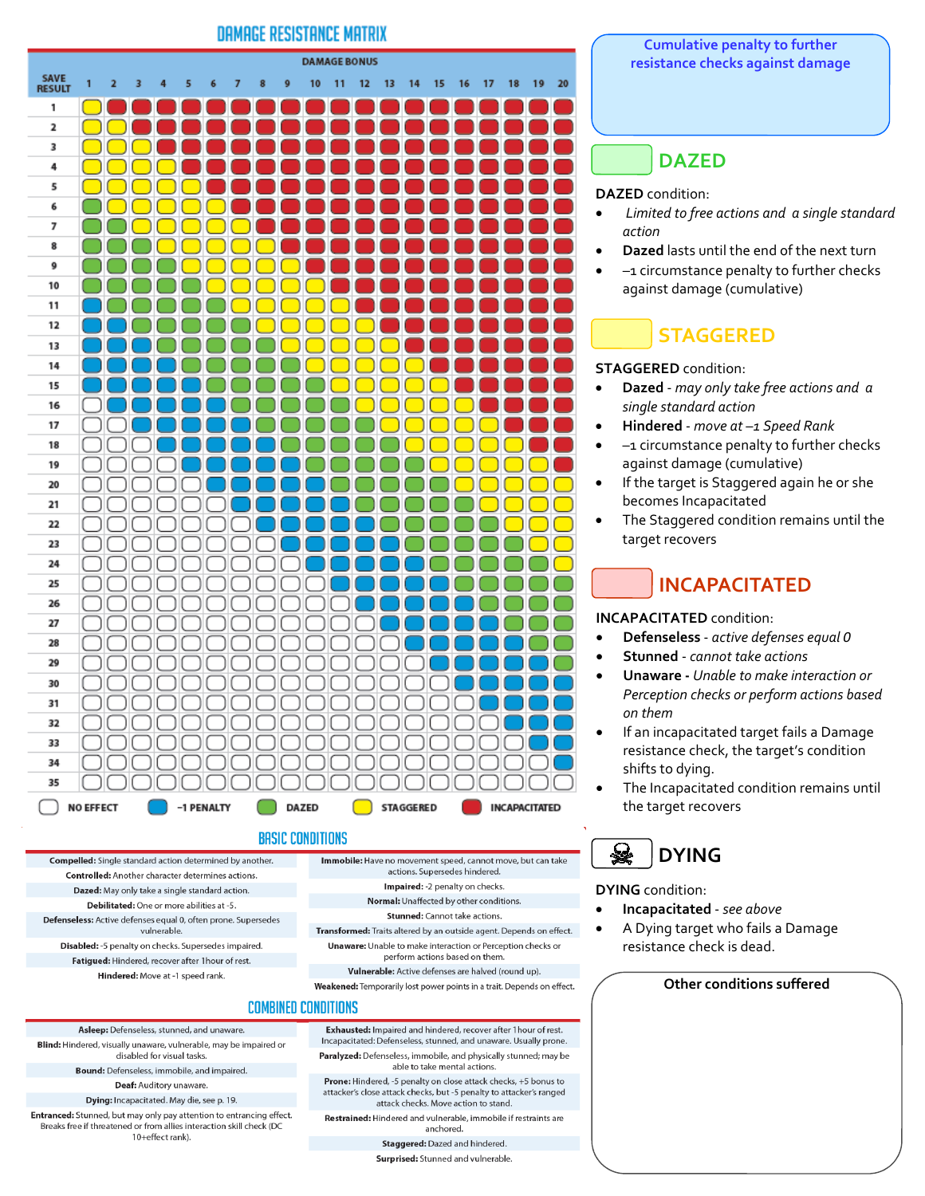### **DAMAGE RESISTANCE MATRIX**



### **BASIC CONDITIONS**

Compelled: Single standard action determined by another. **Controlled:** Another character determines actions Dazed: May only take a single standard action. Debilitated: One or more abilities at -5 Defenseless: Active defenses equal 0, often prone. Supersedes vulnerable. Disabled: -5 penalty on checks. Supersedes impaired. Fatigued: Hindered, recover after 1 hour of rest.

Hindered: Move at -1 speed rank

Immobile: Have no movement speed, cannot move, but can take actions. Supersedes hindered.

- Impaired: 2 penalty on checks.
- Normal: Unaffected by other conditions.

Stunned: Cannot take actions

Transformed: Traits altered by an outside agent. Depends on effect. **Unaware:** Unable to make interaction or Perception checks or perform actions based on them.

Vulnerable: Active defenses are halved (round up).

Weakened: Temporarily lost power points in a trait. Depends on effect.

#### **COMBINED CONDITIONS**

Asleep: Defenseless, stunned, and unaware. Blind: Hindered, visually unaware, vulnerable, may be impaired or disabled for visual tasks.

Bound: Defenseless, immobile, and impaired.

**Deaf:** Auditory unaware

Dying: Incapacitated. May die, see p. 19.

Entranced: Stunned, but may only pay attention to entrancing effect. Breaks free if threatened or from allies interaction skill check (DC 10+effect rank).

#### **Cumulative penalty to further resistance checks against damage**

## **DAZED**

#### **DAZED** condition:

- *Limited to free actions and a single standard action*
- **Dazed** lasts until the end of the next turn
- -1 circumstance penalty to further checks against damage (cumulative)

# **STAGGERED**

#### **STAGGERED** condition:

- **Dazed**  *may only take free actions and a single standard action*
- **Hindered**  *move at –1 Speed Rank*
- –1 circumstance penalty to further checks against damage (cumulative)
- If the target is Staggered again he or she becomes Incapacitated
- The Staggered condition remains until the target recovers

# **INCAPACITATED**

**INCAPACITATED** condition:

- **Defenseless**  *active defenses equal 0*
- **Stunned**  *cannot take actions*
- **Unaware** *Unable to make interaction or Perception checks or perform actions based on them*
- If an incapacitated target fails a Damage resistance check, the target's condition shifts to dying.
- The Incapacitated condition remains until the target recovers

#### 窭 **DYING**

#### **DYING** condition:

- **Incapacitated**  *see above*
- A Dying target who fails a Damage resistance check is dead.

#### **Other conditions suffered**

Exhausted: Impaired and hindered, recover after 1 hour of rest. Incapacitated: Defenseless, stunned, and unaware. Usually prone. Paralyzed: Defenseless, immobile, and physically stunned; may be able to take mental actions.

Prone: Hindered, -5 penalty on close attack checks, +5 bonus to attacker's close attack checks, but -5 penalty to attacker's ranged attack checks. Move action to stand.

Restrained: Hindered and vulnerable, immobile if restraints are anchored

Staggered: Dazed and hindered.

Surprised: Stunned and vulnerable.